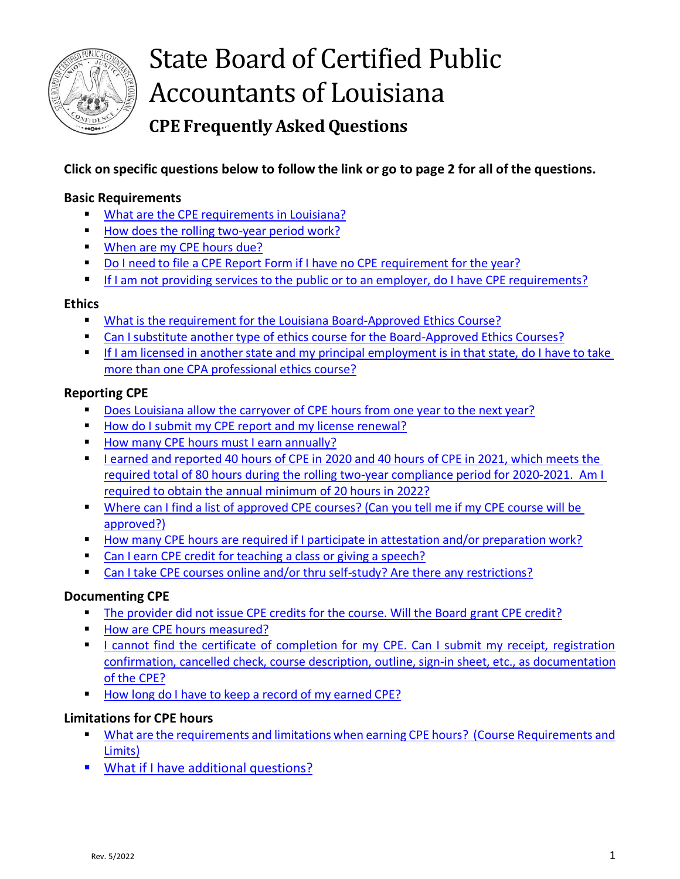

# **Click on specific questions below to follow the link or go to page 2 for all of the questions.**

### <span id="page-0-0"></span>**Basic Requirements**

- **EXECUTE:** [What are the CPE requirements in Louisiana?](#page-0-0)
- [How does the rolling two-year period work?](#page-1-0)
- [When are my CPE hours due?](#page-2-0)
- [Do I need to file a CPE Report Form if I have no CPE requirement for the year?](#page-2-1)
- **■** If I am not providing services to the public or to an employer, do I have CPE requirements?

#### **Ethics**

- [What is the requirement for the Louisiana Board-Approved Ethics Course?](#page-2-2)
- [Can I substitute another type of ethics course for the Board-Approved Ethics Courses?](#page-2-3)
- **EXECTE I** If I am licensed in another state and my principal employment is in that state, do I have to take [more than one CPA professional ethics course?](#page-3-0)

### **Reporting CPE**

- **[Does Louisiana allow the carryover of CPE hours from one year to the next year?](#page-3-1)**
- [How do I submit my CPE report and my license renewal?](#page-3-2)
- [How many CPE hours must I earn annually?](#page-4-0)
- **EXECTE:** I earned and reported 40 hours of CPE in 2020 and 40 hours of CPE in 2021, which meets the [required total of 80 hours during the rolling two-year compliance period for 2020-2021. Am I](#page-4-1)  [required to obtain the annual minimum of 20 hours in 2022?](#page-4-1)
- **EXECT** [Where can I find a list of approved CPE courses? \(Can](#page-4-2) you tell me if my CPE course will be [approved?\)](#page-4-2)
- [How many CPE hours are required if I participate in attestation and/or preparation work?](#page-5-0)
- [Can I earn CPE credit for teaching a class or giving a speech?](#page-5-1)
- [Can I take CPE courses online and/or thru self-study? Are there any restrictions?](#page-5-2)

### **Documenting CPE**

- [The provider did not issue CPE credits for the course. Will the Board grant CPE credit?](#page-6-0)
- [How are CPE hours measured?](#page-6-1)
- **EXECUTE:** I cannot find the certificate of completion for my CPE. Can I submit my receipt, registration [confirmation, cancelled check, course description,](#page-6-2) outline, sign-in sheet, etc., as documentation [of the CPE?](#page-6-2)
- [How long do I have to keep a record of my earned CPE?](#page-7-0)

### **Limitations for CPE hours**

- **What are the requirements and limitations when earning CPE hours? (Course Requirements and** [Limits\)](file:///C:/Users/dms/Documents/Desktop/Continuing_Educatio%23My_certificate_says_)
- [What if I have additional questions?](#page-8-0)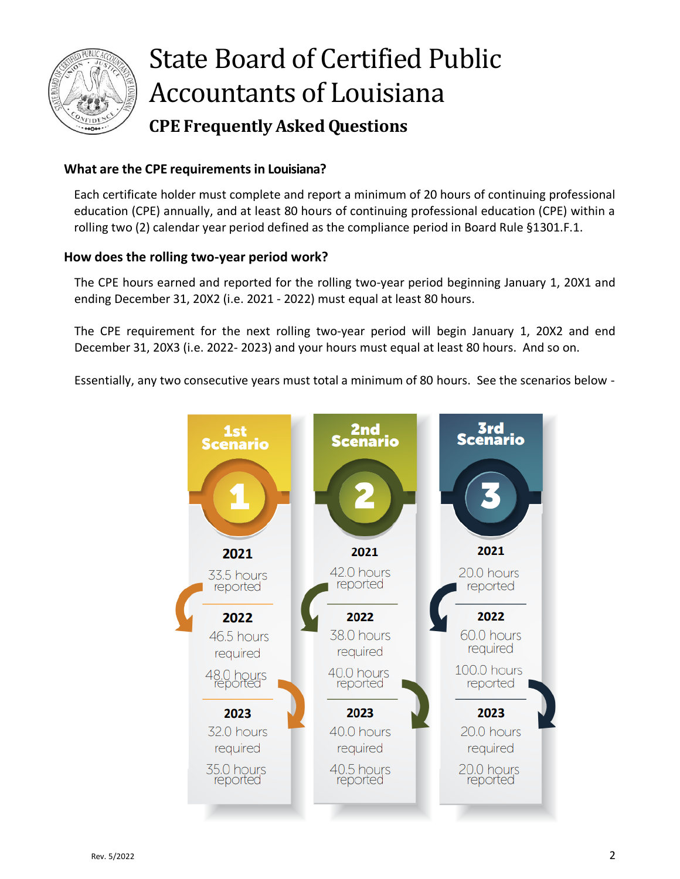

### **What are the CPE requirementsin Louisiana?**

Each certificate holder must complete and report a minimum of 20 hours of continuing professional education (CPE) annually, and at least 80 hours of continuing professional education (CPE) within a rolling two (2) calendar year period defined as the compliance period in Board Rule §1301.F.1.

### <span id="page-1-0"></span>**How does the rolling two-year period work?**

The CPE hours earned and reported for the rolling two-year period beginning January 1, 20X1 and ending December 31, 20X2 (i.e. 2021 - 2022) must equal at least 80 hours.

The CPE requirement for the next rolling two-year period will begin January 1, 20X2 and end December 31, 20X3 (i.e. 2022- 2023) and your hours must equal at least 80 hours. And so on.

Essentially, any two consecutive years must total a minimum of 80 hours. See the scenarios below -

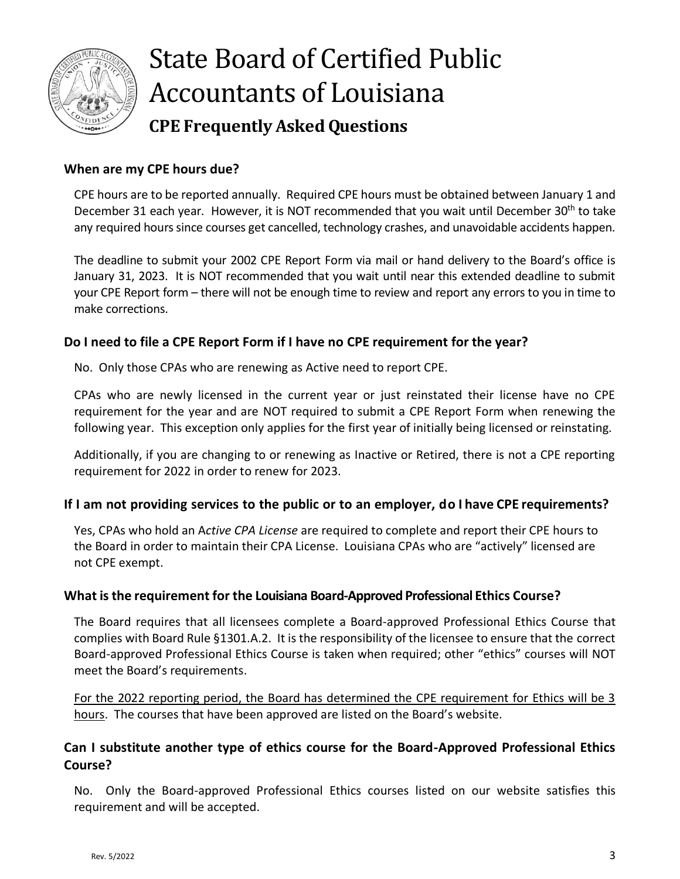

### <span id="page-2-0"></span>**When are my CPE hours due?**

CPE hours are to be reported annually. Required CPE hours must be obtained between January 1 and December 31 each year. However, it is NOT recommended that you wait until December  $30<sup>th</sup>$  to take any required hours since courses get cancelled, technology crashes, and unavoidable accidents happen.

The deadline to submit your 2002 CPE Report Form via mail or hand delivery to the Board's office is January 31, 2023. It is NOT recommended that you wait until near this extended deadline to submit your CPE Report form – there will not be enough time to review and report any errors to you in time to make corrections.

### <span id="page-2-1"></span>**Do I need to file a CPE Report Form if I have no CPE requirement for the year?**

No. Only those CPAs who are renewing as Active need to report CPE.

CPAs who are newly licensed in the current year or just reinstated their license have no CPE requirement for the year and are NOT required to submit a CPE Report Form when renewing the following year. This exception only applies for the first year of initially being licensed or reinstating.

Additionally, if you are changing to or renewing as Inactive or Retired, there is not a CPE reporting requirement for 2022 in order to renew for 2023.

#### **If I am not providing services to the public or to an employer, do I have CPE requirements?**

Yes, CPAs who hold an A*ctive CPA License* are required to complete and report their CPE hours to the Board in order to maintain their CPA License. Louisiana CPAs who are "actively" licensed are not CPE exempt.

#### <span id="page-2-2"></span>**What isthe requirement for the Louisiana Board-Approved Professional Ethics Course?**

The Board requires that all licensees complete a Board-approved Professional Ethics Course that complies with Board Rule §1301.A.2. It is the responsibility of the licensee to ensure that the correct Board-approved Professional Ethics Course is taken when required; other "ethics" courses will NOT meet the Board's requirements.

<span id="page-2-3"></span>For the 2022 reporting period, the Board has determined the CPE requirement for Ethics will be 3 hours. The courses that have been approved are listed on the Board's website.

### **Can I substitute another type of ethics course for the Board-Approved Professional Ethics Course?**

No. Only the Board-approved Professional Ethics courses listed on our website satisfies this requirement and will be accepted.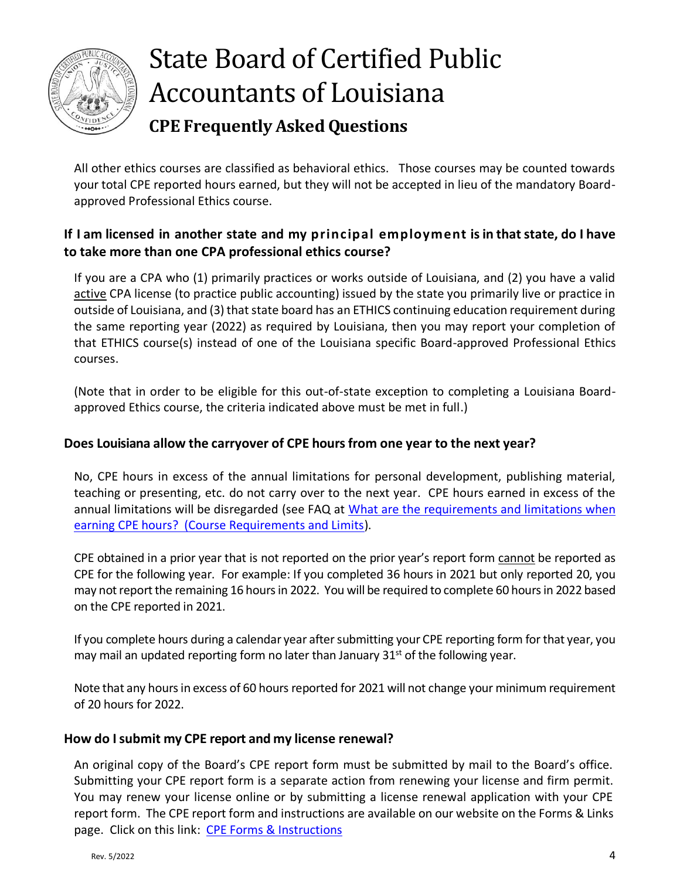

All other ethics courses are classified as behavioral ethics. Those courses may be counted towards your total CPE reported hours earned, but they will not be accepted in lieu of the mandatory Boardapproved Professional Ethics course.

## <span id="page-3-0"></span>**If I am licensed in another state and my principal employment isin thatstate, do I have to take more than one CPA professional ethics course?**

If you are a CPA who (1) primarily practices or works outside of Louisiana, and (2) you have a valid active CPA license (to practice public accounting) issued by the state you primarily live or practice in outside of Louisiana, and (3) that state board has an ETHICS continuing education requirement during the same reporting year (2022) as required by Louisiana, then you may report your completion of that ETHICS course(s) instead of one of the Louisiana specific Board-approved Professional Ethics courses.

(Note that in order to be eligible for this out-of-state exception to completing a Louisiana Boardapproved Ethics course, the criteria indicated above must be met in full.)

## <span id="page-3-1"></span>**Does Louisiana allow the carryover of CPE hoursfrom one year to the next year?**

No, CPE hours in excess of the annual limitations for personal development, publishing material, teaching or presenting, etc. do not carry over to the next year. CPE hours earned in excess of the annual limitations will be disregarded (see FAQ at [What are the requirements and limitations when](#page-6-3)  [earning CPE hours? \(Course Requirements and Limits\)](#page-6-3).

CPE obtained in a prior year that is not reported on the prior year's report form cannot be reported as CPE for the following year. For example: If you completed 36 hours in 2021 but only reported 20, you may not report the remaining 16 hours in 2022. You will be required to complete 60 hours in 2022 based on the CPE reported in 2021.

If you complete hours during a calendar year after submitting your CPE reporting form for that year, you may mail an updated reporting form no later than January  $31<sup>st</sup>$  of the following year.

Note that any hours in excess of 60 hours reported for 2021 will not change your minimum requirement of 20 hours for 2022.

#### <span id="page-3-2"></span>**How do Isubmit my CPE report and my license renewal?**

An original copy of the Board's CPE report form must be submitted by mail to the Board's office. Submitting your CPE report form is a separate action from renewing your license and firm permit. You may renew your license online or by submitting a license renewal application with your CPE report form. The CPE report form and instructions are available on our website on the Forms & Links page. Click on this link: [CPE Forms & Instructions](http://cpaboard.state.la.us/forms-links/)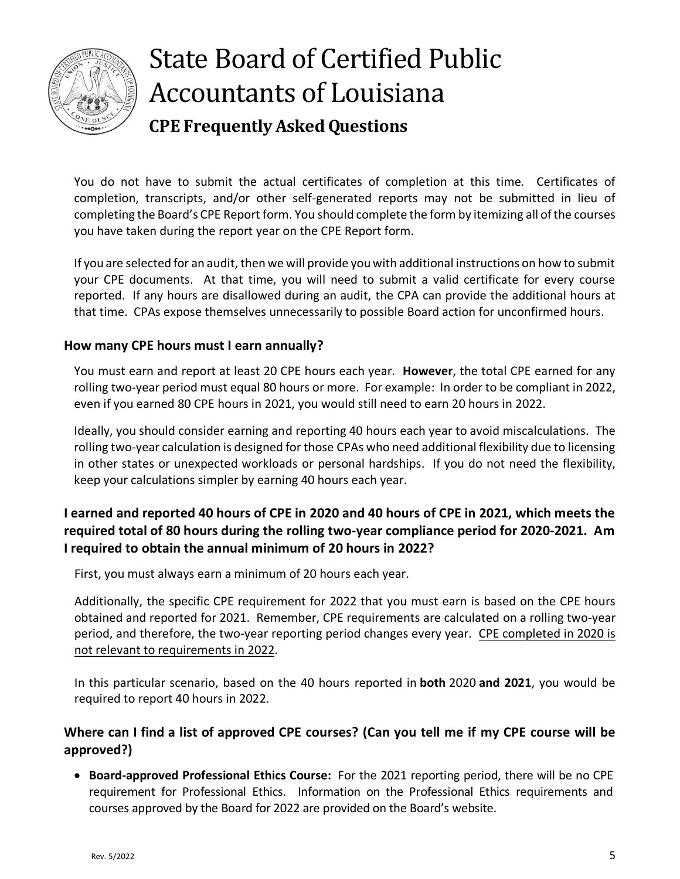

You do not have to submit the actual certificates of completion at this time. Certificates of completion, transcripts, and/or other self-generated reports may not be submitted in lieu of completing the Board's CPE Report form. You should complete the form by itemizing all of the courses you have taken during the report year on the CPE Report form.

If you are selected for an audit, then we will provide you with additional instructions on how to submit your CPE documents. At that time, you will need to submit a valid certificate for every course reported. If any hours are disallowed during an audit, the CPA can provide the additional hours at that time. CPAs expose themselves unnecessarily to possible Board action for unconfirmed hours.

### <span id="page-4-0"></span>**How many CPE hours must I earn annually?**

You must earn and report at least 20 CPE hours each year. **However**, the total CPE earned for any rolling two-year period must equal 80 hours or more. For example: In order to be compliant in 2022, even if you earned 80 CPE hours in 2021, you would still need to earn 20 hours in 2022.

Ideally, you should consider earning and reporting 40 hours each year to avoid miscalculations. The rolling two-year calculation is designed for those CPAs who need additional flexibility due to licensing in other states or unexpected workloads or personal hardships. If you do not need the flexibility, keep your calculations simpler by earning 40 hours each year.

## <span id="page-4-1"></span>**I earned and reported 40 hours of CPE in 2020 and 40 hours of CPE in 2021, which meets the required total of 80 hours during the rolling two-year compliance period for 2020-2021. Am I required to obtain the annual minimum of 20 hours in 2022?**

First, you must always earn a minimum of 20 hours each year.

Additionally, the specific CPE requirement for 2022 that you must earn is based on the CPE hours obtained and reported for 2021. Remember, CPE requirements are calculated on a rolling two-year period, and therefore, the two-year reporting period changes every year. CPE completed in 2020 is not relevant to requirements in 2022.

<span id="page-4-2"></span>In this particular scenario, based on the 40 hours reported in **both** 2020 **and 2021**, you would be required to report 40 hours in 2022.

### **Where can I find a list of approved CPE courses? (Can you tell me if my CPE course will be approved?)**

• **Board-approved Professional Ethics Course:** For the 2021 reporting period, there will be no CPE requirement for Professional Ethics. Information on the Professional Ethics requirements and courses approved by the Board for 2022 are provided on the Board's website.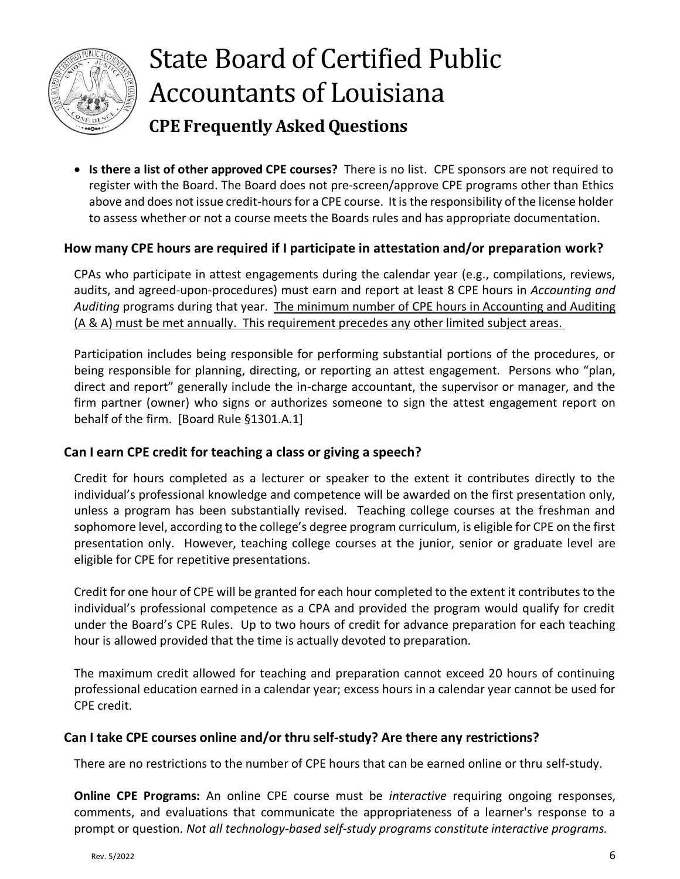

• **Is there a list of other approved CPE courses?** There is no list. CPE sponsors are not required to register with the Board. The Board does not pre-screen/approve CPE programs other than Ethics above and does not issue credit-hours for a CPE course. It is the responsibility of the license holder to assess whether or not a course meets the Boards rules and has appropriate documentation.

### <span id="page-5-0"></span>**How many CPE hours are required if I participate in attestation and/or preparation work?**

CPAs who participate in attest engagements during the calendar year (e.g., compilations, reviews, audits, and agreed-upon-procedures) must earn and report at least 8 CPE hours in *Accounting and Auditing* programs during that year. The minimum number of CPE hours in Accounting and Auditing (A & A) must be met annually. This requirement precedes any other limited subject areas.

Participation includes being responsible for performing substantial portions of the procedures, or being responsible for planning, directing, or reporting an attest engagement. Persons who "plan, direct and report" generally include the in-charge accountant, the supervisor or manager, and the firm partner (owner) who signs or authorizes someone to sign the attest engagement report on behalf of the firm. [Board Rule §1301.A.1]

#### <span id="page-5-1"></span>**Can I earn CPE credit for teaching a class or giving a speech?**

Credit for hours completed as a lecturer or speaker to the extent it contributes directly to the individual's professional knowledge and competence will be awarded on the first presentation only, unless a program has been substantially revised. Teaching college courses at the freshman and sophomore level, according to the college's degree program curriculum, is eligible for CPE on the first presentation only. However, teaching college courses at the junior, senior or graduate level are eligible for CPE for repetitive presentations.

Credit for one hour of CPE will be granted for each hour completed to the extent it contributes to the individual's professional competence as a CPA and provided the program would qualify for credit under the Board's CPE Rules. Up to two hours of credit for advance preparation for each teaching hour is allowed provided that the time is actually devoted to preparation.

The maximum credit allowed for teaching and preparation cannot exceed 20 hours of continuing professional education earned in a calendar year; excess hours in a calendar year cannot be used for CPE credit.

#### <span id="page-5-2"></span>**Can I take CPE courses online and/or thru self-study? Are there any restrictions?**

There are no restrictions to the number of CPE hours that can be earned online or thru self-study.

**Online CPE Programs:** An online CPE course must be *interactive* requiring ongoing responses, comments, and evaluations that communicate the appropriateness of a learner's response to a prompt or question. *Not all technology-based self-study programs constitute interactive programs.*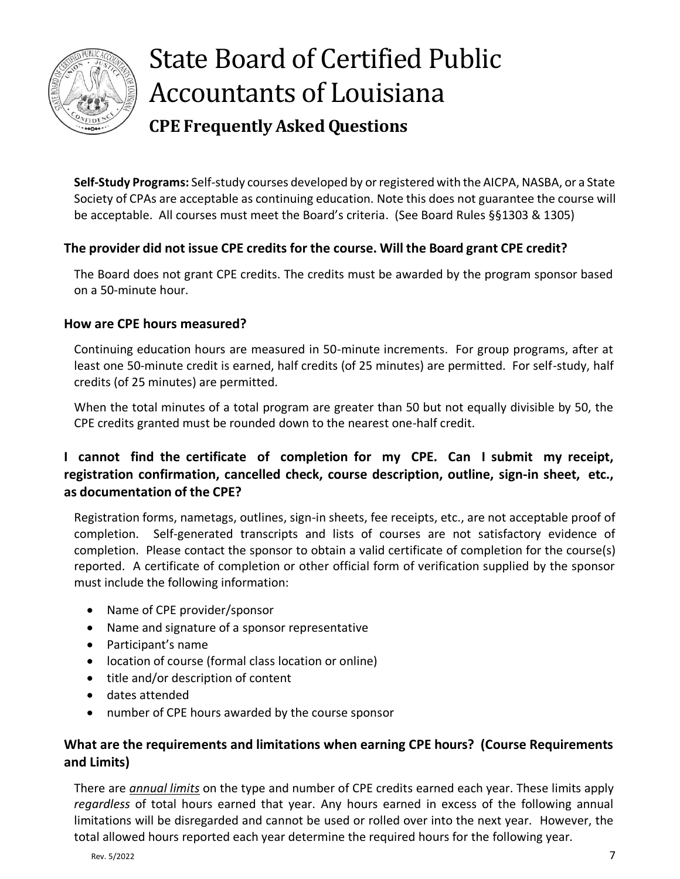

**Self-Study Programs:** Self-study courses developed by or registered with the AICPA, NASBA, or a State Society of CPAs are acceptable as continuing education. Note this does not guarantee the course will be acceptable. All courses must meet the Board's criteria. (See Board Rules §§1303 & 1305)

### <span id="page-6-0"></span>**The provider did not issue CPE credits for the course. Will the Board grant CPE credit?**

The Board does not grant CPE credits. The credits must be awarded by the program sponsor based on a 50-minute hour.

### <span id="page-6-1"></span>**How are CPE hours measured?**

Continuing education hours are measured in 50-minute increments. For group programs, after at least one 50-minute credit is earned, half credits (of 25 minutes) are permitted. For self-study, half credits (of 25 minutes) are permitted.

When the total minutes of a total program are greater than 50 but not equally divisible by 50, the CPE credits granted must be rounded down to the nearest one-half credit.

# <span id="page-6-2"></span>**I cannot find the certificate of completion for my CPE. Can I submit my receipt, registration confirmation, cancelled check, course description, outline, sign-in sheet, etc., as documentation of the CPE?**

Registration forms, nametags, outlines, sign-in sheets, fee receipts, etc., are not acceptable proof of completion. Self-generated transcripts and lists of courses are not satisfactory evidence of completion. Please contact the sponsor to obtain a valid certificate of completion for the course(s) reported. A certificate of completion or other official form of verification supplied by the sponsor must include the following information:

- Name of CPE provider/sponsor
- Name and signature of a sponsor representative
- Participant's name
- location of course (formal class location or online)
- title and/or description of content
- dates attended
- number of CPE hours awarded by the course sponsor

### <span id="page-6-3"></span>**What are the requirements and limitations when earning CPE hours? (Course Requirements and Limits)**

There are *annual limits* on the type and number of CPE credits earned each year. These limits apply *regardless* of total hours earned that year. Any hours earned in excess of the following annual limitations will be disregarded and cannot be used or rolled over into the next year. However, the total allowed hours reported each year determine the required hours for the following year.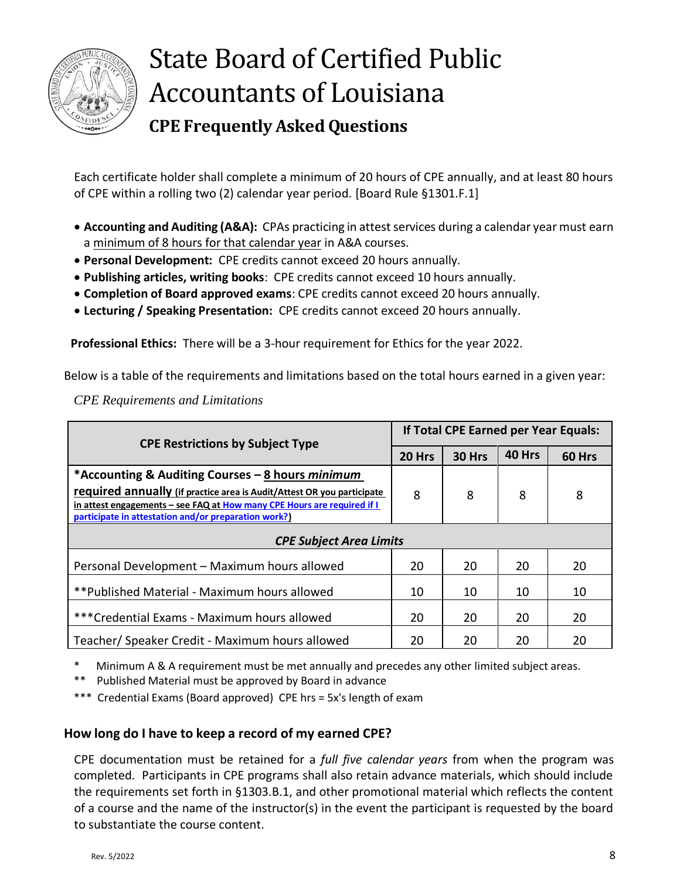

Each certificate holder shall complete a minimum of 20 hours of CPE annually, and at least 80 hours of CPE within a rolling two (2) calendar year period. [Board Rule §1301.F.1]

- **Accounting and Auditing (A&A):** CPAs practicing in attest services during a calendar year must earn a minimum of 8 hours for that calendar year in A&A courses.
- **Personal Development:** CPE credits cannot exceed 20 hours annually.
- **Publishing articles, writing books**: CPE credits cannot exceed 10 hours annually.
- **Completion of Board approved exams**: CPE credits cannot exceed 20 hours annually.
- **Lecturing / Speaking Presentation:** CPE credits cannot exceed 20 hours annually.

**Professional Ethics:** There will be a 3-hour requirement for Ethics for the year 2022.

Below is a table of the requirements and limitations based on the total hours earned in a given year:

*CPE Requirements and Limitations* 

| <b>CPE Restrictions by Subject Type</b>                                                                                         | If Total CPE Earned per Year Equals: |        |        |        |
|---------------------------------------------------------------------------------------------------------------------------------|--------------------------------------|--------|--------|--------|
|                                                                                                                                 | 20 Hrs                               | 30 Hrs | 40 Hrs | 60 Hrs |
| *Accounting & Auditing Courses - 8 hours minimum                                                                                |                                      |        |        |        |
| required annually (if practice area is Audit/Attest OR you participate                                                          | 8                                    | 8      | 8      | 8      |
| in attest engagements – see FAQ at How many CPE Hours are required if I<br>participate in attestation and/or preparation work?) |                                      |        |        |        |
| <b>CPE Subject Area Limits</b>                                                                                                  |                                      |        |        |        |
| Personal Development - Maximum hours allowed                                                                                    | 20                                   | 20     | 20     | 20     |
| ** Published Material - Maximum hours allowed                                                                                   | 10                                   | 10     | 10     | 10     |
| *** Credential Exams - Maximum hours allowed                                                                                    | 20                                   | 20     | 20     | 20     |
| Teacher/ Speaker Credit - Maximum hours allowed                                                                                 | 20                                   | 20     | 20     | 20     |

\* Minimum A & A requirement must be met annually and precedes any other limited subject areas.

\*\* Published Material must be approved by Board in advance

\*\*\* Credential Exams (Board approved) CPE hrs = 5x's length of exam

#### <span id="page-7-0"></span>**How long do I have to keep a record of my earned CPE?**

CPE documentation must be retained for a *full five calendar years* from when the program was completed. Participants in CPE programs shall also retain advance materials, which should include the requirements set forth in §1303.B.1, and other promotional material which reflects the content of a course and the name of the instructor(s) in the event the participant is requested by the board to substantiate the course content.